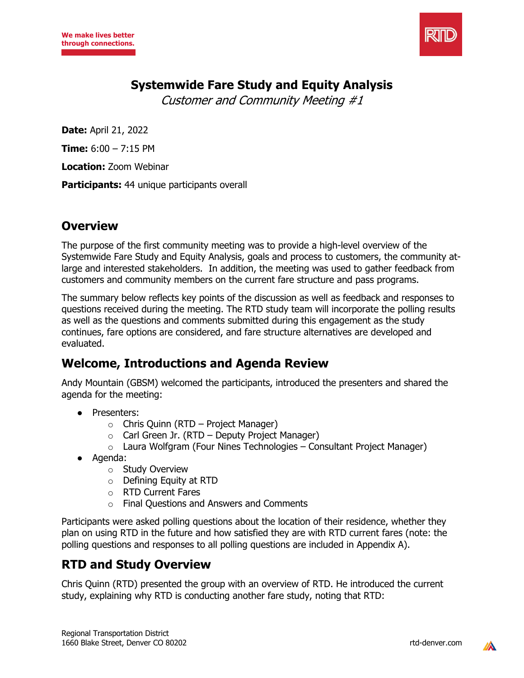

## **Systemwide Fare Study and Equity Analysis**

Customer and Community Meeting #1

**Date:** April 21, 2022

**Time:** 6:00 – 7:15 PM

**Location:** Zoom Webinar

**Participants:** 44 unique participants overall

## **Overview**

The purpose of the first community meeting was to provide a high-level overview of the Systemwide Fare Study and Equity Analysis, goals and process to customers, the community atlarge and interested stakeholders. In addition, the meeting was used to gather feedback from customers and community members on the current fare structure and pass programs.

The summary below reflects key points of the discussion as well as feedback and responses to questions received during the meeting. The RTD study team will incorporate the polling results as well as the questions and comments submitted during this engagement as the study continues, fare options are considered, and fare structure alternatives are developed and evaluated.

# **Welcome, Introductions and Agenda Review**

Andy Mountain (GBSM) welcomed the participants, introduced the presenters and shared the agenda for the meeting:

- Presenters:
	- $\circ$  Chris Quinn (RTD Project Manager)
	- $\circ$  Carl Green Jr. (RTD Deputy Project Manager)
	- $\circ$  Laura Wolfgram (Four Nines Technologies Consultant Project Manager)
- Agenda:
	- o Study Overview
	- o Defining Equity at RTD
	- o RTD Current Fares
	- o Final Questions and Answers and Comments

Participants were asked polling questions about the location of their residence, whether they plan on using RTD in the future and how satisfied they are with RTD current fares (note: the polling questions and responses to all polling questions are included in Appendix A).

# **RTD and Study Overview**

Chris Quinn (RTD) presented the group with an overview of RTD. He introduced the current study, explaining why RTD is conducting another fare study, noting that RTD:

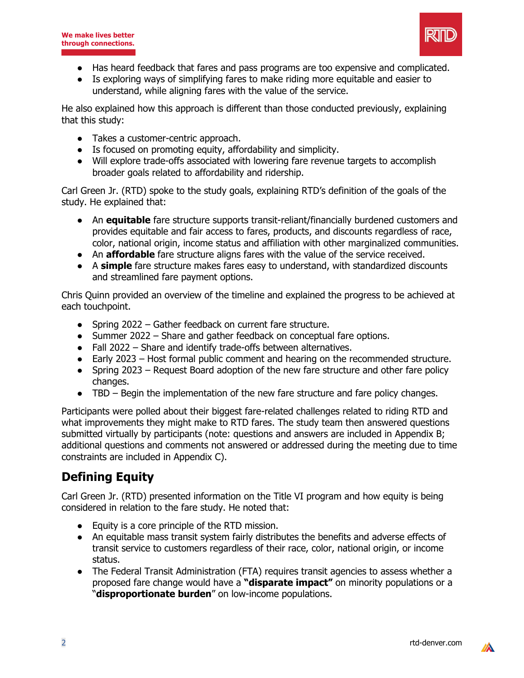

- Has heard feedback that fares and pass programs are too expensive and complicated.
- Is exploring ways of simplifying fares to make riding more equitable and easier to understand, while aligning fares with the value of the service.

He also explained how this approach is different than those conducted previously, explaining that this study:

- Takes a customer-centric approach.
- Is focused on promoting equity, affordability and simplicity.
- Will explore trade-offs associated with lowering fare revenue targets to accomplish broader goals related to affordability and ridership.

Carl Green Jr. (RTD) spoke to the study goals, explaining RTD's definition of the goals of the study. He explained that:

- An **equitable** fare structure supports transit-reliant/financially burdened customers and provides equitable and fair access to fares, products, and discounts regardless of race, color, national origin, income status and affiliation with other marginalized communities.
- An **affordable** fare structure aligns fares with the value of the service received.
- A **simple** fare structure makes fares easy to understand, with standardized discounts and streamlined fare payment options.

Chris Quinn provided an overview of the timeline and explained the progress to be achieved at each touchpoint.

- Spring 2022 Gather feedback on current fare structure.
- Summer 2022 Share and gather feedback on conceptual fare options.
- Fall 2022 Share and identify trade-offs between alternatives.
- Early 2023 Host formal public comment and hearing on the recommended structure.
- Spring 2023 Request Board adoption of the new fare structure and other fare policy changes.
- TBD Begin the implementation of the new fare structure and fare policy changes.

Participants were polled about their biggest fare-related challenges related to riding RTD and what improvements they might make to RTD fares. The study team then answered questions submitted virtually by participants (note: questions and answers are included in Appendix B; additional questions and comments not answered or addressed during the meeting due to time constraints are included in Appendix C).

# **Defining Equity**

Carl Green Jr. (RTD) presented information on the Title VI program and how equity is being considered in relation to the fare study. He noted that:

- Equity is a core principle of the RTD mission.
- An equitable mass transit system fairly distributes the benefits and adverse effects of transit service to customers regardless of their race, color, national origin, or income status.
- The Federal Transit Administration (FTA) requires transit agencies to assess whether a proposed fare change would have a **"disparate impact"** on minority populations or a "**disproportionate burden**" on low-income populations.

*IA*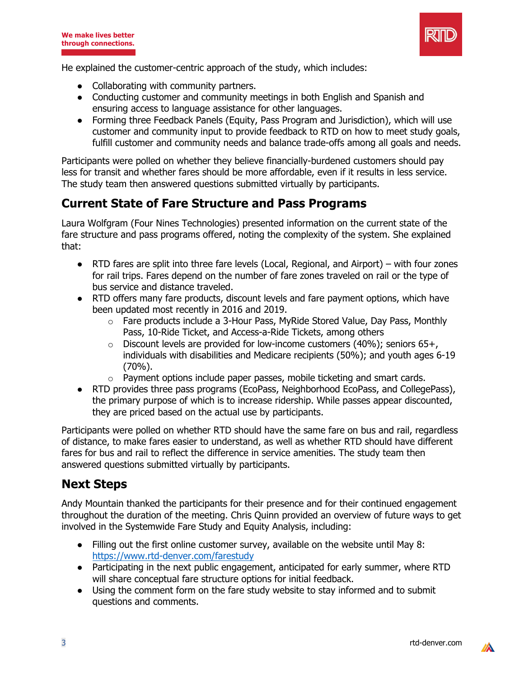

He explained the customer-centric approach of the study, which includes:

- Collaborating with community partners.
- Conducting customer and community meetings in both English and Spanish and ensuring access to language assistance for other languages.
- Forming three Feedback Panels (Equity, Pass Program and Jurisdiction), which will use customer and community input to provide feedback to RTD on how to meet study goals, fulfill customer and community needs and balance trade-offs among all goals and needs.

Participants were polled on whether they believe financially-burdened customers should pay less for transit and whether fares should be more affordable, even if it results in less service. The study team then answered questions submitted virtually by participants.

## **Current State of Fare Structure and Pass Programs**

Laura Wolfgram (Four Nines Technologies) presented information on the current state of the fare structure and pass programs offered, noting the complexity of the system. She explained that:

- $\bullet$  RTD fares are split into three fare levels (Local, Regional, and Airport) with four zones for rail trips. Fares depend on the number of fare zones traveled on rail or the type of bus service and distance traveled.
- RTD offers many fare products, discount levels and fare payment options, which have been updated most recently in 2016 and 2019.
	- o Fare products include a 3-Hour Pass, MyRide Stored Value, Day Pass, Monthly Pass, 10-Ride Ticket, and Access-a-Ride Tickets, among others
	- $\circ$  Discount levels are provided for low-income customers (40%); seniors 65+, individuals with disabilities and Medicare recipients (50%); and youth ages 6-19 (70%).
	- o Payment options include paper passes, mobile ticketing and smart cards.
- RTD provides three pass programs (EcoPass, Neighborhood EcoPass, and CollegePass), the primary purpose of which is to increase ridership. While passes appear discounted, they are priced based on the actual use by participants.

Participants were polled on whether RTD should have the same fare on bus and rail, regardless of distance, to make fares easier to understand, as well as whether RTD should have different fares for bus and rail to reflect the difference in service amenities. The study team then answered questions submitted virtually by participants.

## **Next Steps**

Andy Mountain thanked the participants for their presence and for their continued engagement throughout the duration of the meeting. Chris Quinn provided an overview of future ways to get involved in the Systemwide Fare Study and Equity Analysis, including:

- Filling out the first online customer survey, available on the website until May 8: https://www.rtd-denver.com/farestudy
- Participating in the next public engagement, anticipated for early summer, where RTD will share conceptual fare structure options for initial feedback.
- Using the comment form on the fare study website to stay informed and to submit questions and comments.

 $\mathbb{Z}$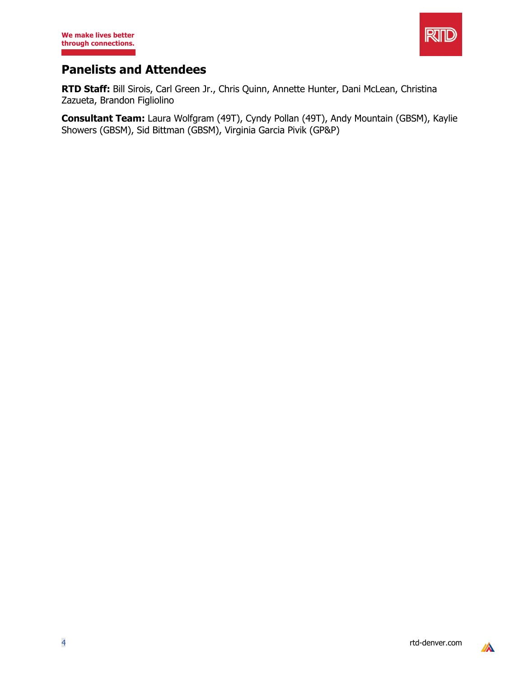

# **Panelists and Attendees**

**RTD Staff:** Bill Sirois, Carl Green Jr., Chris Quinn, Annette Hunter, Dani McLean, Christina Zazueta, Brandon Figliolino

**Consultant Team:** Laura Wolfgram (49T), Cyndy Pollan (49T), Andy Mountain (GBSM), Kaylie Showers (GBSM), Sid Bittman (GBSM), Virginia Garcia Pivik (GP&P)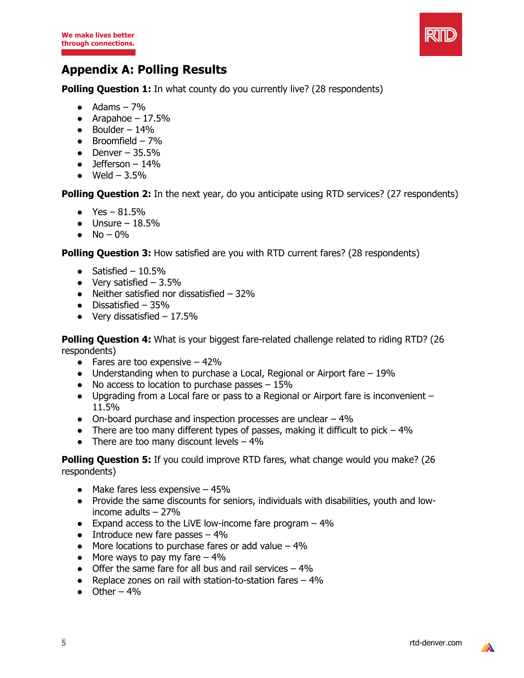

# **Appendix A: Polling Results**

**Polling Question 1:** In what county do you currently live? (28 respondents)

- $\bullet$  Adams  $-7\%$
- Arapahoe  $17.5\%$
- $\bullet$  Boulder 14%
- $\bullet$  Broomfield 7%
- Denver  $-35.5%$
- $\bullet$  Jefferson 14%
- $\bullet$  Weld 3.5%

**Polling Question 2:** In the next year, do you anticipate using RTD services? (27 respondents)

- $\bullet$  Yes 81.5%
- $\bullet$  Unsure 18.5%
- $No 0\%$

**Polling Question 3:** How satisfied are you with RTD current fares? (28 respondents)

- Satisfied  $10.5\%$
- $\bullet$  Very satisfied  $-3.5\%$
- $\bullet$  Neither satisfied nor dissatisfied  $-32\%$
- $\bullet$  Dissatisfied 35%
- $\bullet$  Very dissatisfied  $-17.5\%$

**Polling Question 4:** What is your biggest fare-related challenge related to riding RTD? (26 respondents)

- Fares are too expensive  $-42%$
- Understanding when to purchase a Local, Regional or Airport fare  $-19\%$
- $\bullet$  No access to location to purchase passes  $-15\%$
- Upgrading from a Local fare or pass to a Regional or Airport fare is inconvenient 11.5%
- $\bullet$  On-board purchase and inspection processes are unclear  $-4\%$
- There are too many different types of passes, making it difficult to pick  $-4\%$
- There are too many discount levels  $-4\%$

**Polling Question 5:** If you could improve RTD fares, what change would you make? (26 respondents)

- $\bullet$  Make fares less expensive  $-45\%$
- Provide the same discounts for seniors, individuals with disabilities, youth and lowincome adults – 27%
- $\bullet$  Expand access to the LiVE low-income fare program  $-4\%$
- Introduce new fare passes  $-4\%$
- $\bullet$  More locations to purchase fares or add value 4%
- More ways to pay my fare  $-4\%$
- Offer the same fare for all bus and rail services  $-4\%$
- Replace zones on rail with station-to-station fares 4%
- $\bullet$  Other 4%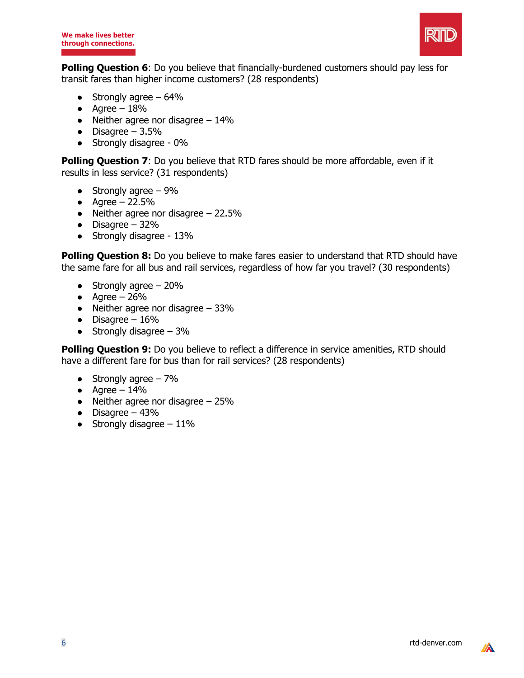

**Polling Question 6**: Do you believe that financially-burdened customers should pay less for transit fares than higher income customers? (28 respondents)

- Strongly agree  $-64%$
- $\bullet$  Agree 18%
- $\bullet$  Neither agree nor disagree  $-14\%$
- $\bullet$  Disagree 3.5%
- Strongly disagree 0%

**Polling Question 7**: Do you believe that RTD fares should be more affordable, even if it results in less service? (31 respondents)

- Strongly agree  $-9\%$
- Agree  $22.5%$
- Neither agree nor disagree  $-22.5%$
- $\bullet$  Disagree 32%
- Strongly disagree 13%

**Polling Question 8:** Do you believe to make fares easier to understand that RTD should have the same fare for all bus and rail services, regardless of how far you travel? (30 respondents)

- Strongly agree  $-20%$
- $\bullet$  Agree 26%
- $\bullet$  Neither agree nor disagree  $-33\%$
- $\bullet$  Disagree 16%
- $\bullet$  Strongly disagree 3%

**Polling Question 9:** Do you believe to reflect a difference in service amenities, RTD should have a different fare for bus than for rail services? (28 respondents)

- Strongly agree  $-7\%$
- $\bullet$  Agree 14%
- Neither agree nor disagree  $-25%$
- $\bullet$  Disagree 43%
- $\bullet$  Strongly disagree 11%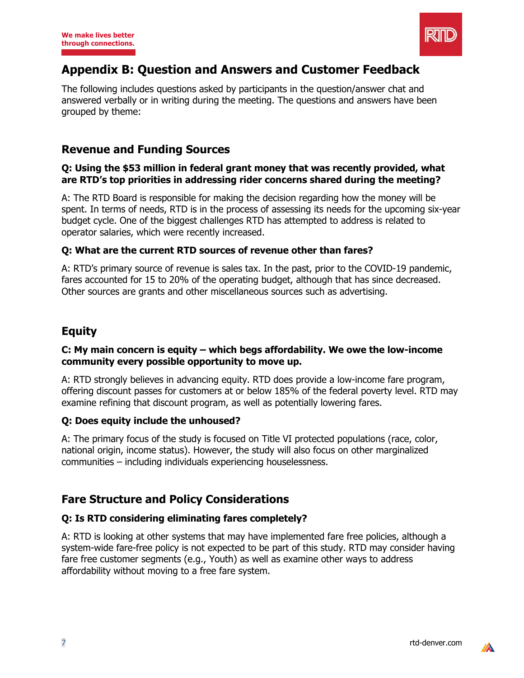

# **Appendix B: Question and Answers and Customer Feedback**

The following includes questions asked by participants in the question/answer chat and answered verbally or in writing during the meeting. The questions and answers have been grouped by theme:

### **Revenue and Funding Sources**

#### **Q: Using the \$53 million in federal grant money that was recently provided, what are RTD's top priorities in addressing rider concerns shared during the meeting?**

A: The RTD Board is responsible for making the decision regarding how the money will be spent. In terms of needs, RTD is in the process of assessing its needs for the upcoming six-year budget cycle. One of the biggest challenges RTD has attempted to address is related to operator salaries, which were recently increased.

#### **Q: What are the current RTD sources of revenue other than fares?**

A: RTD's primary source of revenue is sales tax. In the past, prior to the COVID-19 pandemic, fares accounted for 15 to 20% of the operating budget, although that has since decreased. Other sources are grants and other miscellaneous sources such as advertising.

## **Equity**

### **C: My main concern is equity – which begs affordability. We owe the low-income community every possible opportunity to move up.**

A: RTD strongly believes in advancing equity. RTD does provide a low-income fare program, offering discount passes for customers at or below 185% of the federal poverty level. RTD may examine refining that discount program, as well as potentially lowering fares.

#### **Q: Does equity include the unhoused?**

A: The primary focus of the study is focused on Title VI protected populations (race, color, national origin, income status). However, the study will also focus on other marginalized communities – including individuals experiencing houselessness.

## **Fare Structure and Policy Considerations**

### **Q: Is RTD considering eliminating fares completely?**

A: RTD is looking at other systems that may have implemented fare free policies, although a system-wide fare-free policy is not expected to be part of this study. RTD may consider having fare free customer segments (e.g., Youth) as well as examine other ways to address affordability without moving to a free fare system.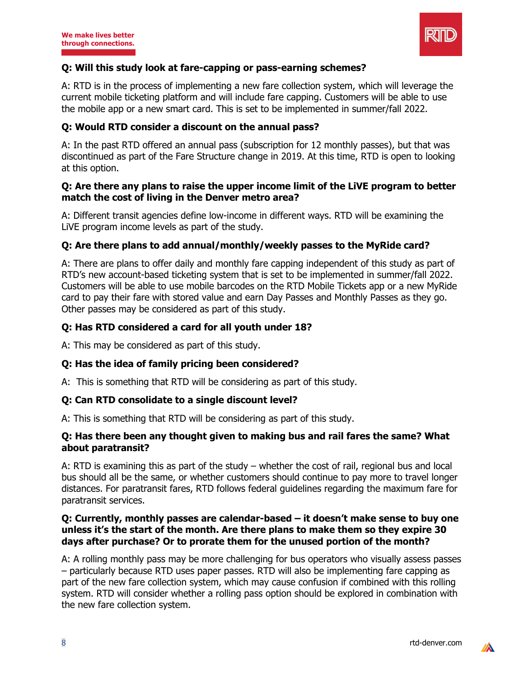

#### **Q: Will this study look at fare-capping or pass-earning schemes?**

A: RTD is in the process of implementing a new fare collection system, which will leverage the current mobile ticketing platform and will include fare capping. Customers will be able to use the mobile app or a new smart card. This is set to be implemented in summer/fall 2022.

#### **Q: Would RTD consider a discount on the annual pass?**

A: In the past RTD offered an annual pass (subscription for 12 monthly passes), but that was discontinued as part of the Fare Structure change in 2019. At this time, RTD is open to looking at this option.

#### **Q: Are there any plans to raise the upper income limit of the LiVE program to better match the cost of living in the Denver metro area?**

A: Different transit agencies define low-income in different ways. RTD will be examining the LiVE program income levels as part of the study.

#### **Q: Are there plans to add annual/monthly/weekly passes to the MyRide card?**

A: There are plans to offer daily and monthly fare capping independent of this study as part of RTD's new account-based ticketing system that is set to be implemented in summer/fall 2022. Customers will be able to use mobile barcodes on the RTD Mobile Tickets app or a new MyRide card to pay their fare with stored value and earn Day Passes and Monthly Passes as they go. Other passes may be considered as part of this study.

#### **Q: Has RTD considered a card for all youth under 18?**

A: This may be considered as part of this study.

#### **Q: Has the idea of family pricing been considered?**

A: This is something that RTD will be considering as part of this study.

#### **Q: Can RTD consolidate to a single discount level?**

A: This is something that RTD will be considering as part of this study.

#### **Q: Has there been any thought given to making bus and rail fares the same? What about paratransit?**

A: RTD is examining this as part of the study – whether the cost of rail, regional bus and local bus should all be the same, or whether customers should continue to pay more to travel longer distances. For paratransit fares, RTD follows federal guidelines regarding the maximum fare for paratransit services.

#### **Q: Currently, monthly passes are calendar-based – it doesn't make sense to buy one unless it's the start of the month. Are there plans to make them so they expire 30 days after purchase? Or to prorate them for the unused portion of the month?**

A: A rolling monthly pass may be more challenging for bus operators who visually assess passes – particularly because RTD uses paper passes. RTD will also be implementing fare capping as part of the new fare collection system, which may cause confusion if combined with this rolling system. RTD will consider whether a rolling pass option should be explored in combination with the new fare collection system.

 $\mathbb{Z}$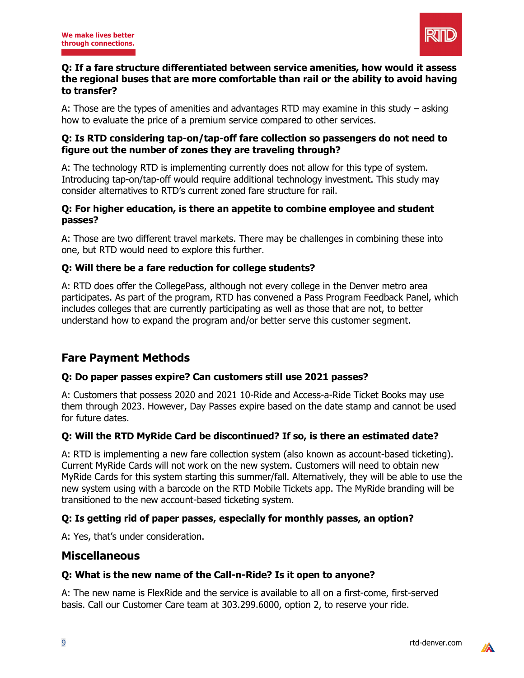

#### **Q: If a fare structure differentiated between service amenities, how would it assess the regional buses that are more comfortable than rail or the ability to avoid having to transfer?**

A: Those are the types of amenities and advantages RTD may examine in this study – asking how to evaluate the price of a premium service compared to other services.

#### **Q: Is RTD considering tap-on/tap-off fare collection so passengers do not need to figure out the number of zones they are traveling through?**

A: The technology RTD is implementing currently does not allow for this type of system. Introducing tap-on/tap-off would require additional technology investment. This study may consider alternatives to RTD's current zoned fare structure for rail.

#### **Q: For higher education, is there an appetite to combine employee and student passes?**

A: Those are two different travel markets. There may be challenges in combining these into one, but RTD would need to explore this further.

### **Q: Will there be a fare reduction for college students?**

A: RTD does offer the CollegePass, although not every college in the Denver metro area participates. As part of the program, RTD has convened a Pass Program Feedback Panel, which includes colleges that are currently participating as well as those that are not, to better understand how to expand the program and/or better serve this customer segment.

## **Fare Payment Methods**

### **Q: Do paper passes expire? Can customers still use 2021 passes?**

A: Customers that possess 2020 and 2021 10-Ride and Access-a-Ride Ticket Books may use them through 2023. However, Day Passes expire based on the date stamp and cannot be used for future dates.

### **Q: Will the RTD MyRide Card be discontinued? If so, is there an estimated date?**

A: RTD is implementing a new fare collection system (also known as account-based ticketing). Current MyRide Cards will not work on the new system. Customers will need to obtain new MyRide Cards for this system starting this summer/fall. Alternatively, they will be able to use the new system using with a barcode on the RTD Mobile Tickets app. The MyRide branding will be transitioned to the new account-based ticketing system.

### **Q: Is getting rid of paper passes, especially for monthly passes, an option?**

A: Yes, that's under consideration.

### **Miscellaneous**

#### **Q: What is the new name of the Call-n-Ride? Is it open to anyone?**

A: The new name is FlexRide and the service is available to all on a first-come, first-served basis. Call our Customer Care team at 303.299.6000, option 2, to reserve your ride.

 $\mathbb{Z}$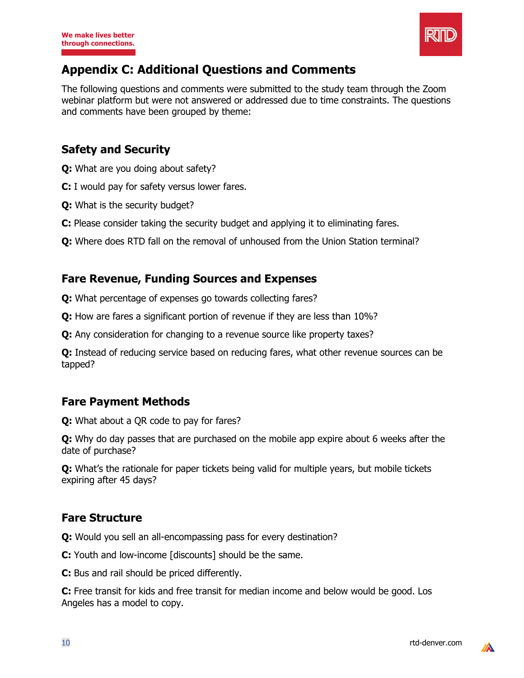

# **Appendix C: Additional Questions and Comments**

The following questions and comments were submitted to the study team through the Zoom webinar platform but were not answered or addressed due to time constraints. The questions and comments have been grouped by theme:

### **Safety and Security**

- **Q:** What are you doing about safety?
- **C:** I would pay for safety versus lower fares.
- **Q:** What is the security budget?
- **C:** Please consider taking the security budget and applying it to eliminating fares.
- **Q:** Where does RTD fall on the removal of unhoused from the Union Station terminal?

### **Fare Revenue, Funding Sources and Expenses**

- **Q:** What percentage of expenses go towards collecting fares?
- **Q:** How are fares a significant portion of revenue if they are less than 10%?
- **Q:** Any consideration for changing to a revenue source like property taxes?

**Q:** Instead of reducing service based on reducing fares, what other revenue sources can be tapped?

### **Fare Payment Methods**

**Q:** What about a QR code to pay for fares?

**Q:** Why do day passes that are purchased on the mobile app expire about 6 weeks after the date of purchase?

**Q:** What's the rationale for paper tickets being valid for multiple years, but mobile tickets expiring after 45 days?

### **Fare Structure**

**Q:** Would you sell an all-encompassing pass for every destination?

**C:** Youth and low-income [discounts] should be the same.

**C:** Bus and rail should be priced differently.

**C:** Free transit for kids and free transit for median income and below would be good. Los Angeles has a model to copy.